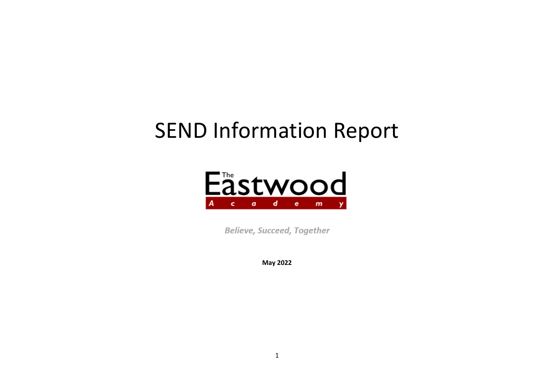# SEND Information Report



Believe, Succeed, Together

**May 2022**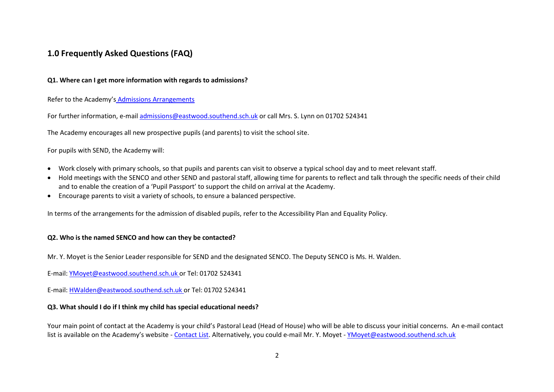## **1.0 Frequently Asked Questions (FAQ)**

## **Q1. Where can I get more information with regards to admissions?**

Refer to the Academy's [Admissions Arrangements](http://www.eastwoodacademy.co.uk/docs/Admission%20Arrangements21.pdf)

For further information, e-mail [admissions@eastwood.southend.sch.uk](mailto:admissions@eastwood.southend.sch.uk) or call Mrs. S. Lynn on 01702 524341

The Academy encourages all new prospective pupils (and parents) to visit the school site.

For pupils with SEND, the Academy will:

- Work closely with primary schools, so that pupils and parents can visit to observe a typical school day and to meet relevant staff.
- Hold meetings with the SENCO and other SEND and pastoral staff, allowing time for parents to reflect and talk through the specific needs of their child and to enable the creation of a 'Pupil Passport' to support the child on arrival at the Academy.
- Encourage parents to visit a variety of schools, to ensure a balanced perspective.

In terms of the arrangements for the admission of disabled pupils, refer to th[e Accessibility Plan](http://www.eastwoodacademy.co.uk/docs/Accessibility%20Plan20.pdf) an[d Equality Policy.](http://www.eastwoodacademy.co.uk/docs/EPAT%20Equality%20Policy20.pdf)

## **Q2. Who is the named SENCO and how can they be contacted?**

Mr. Y. Moyet is the Senior Leader responsible for SEND and the designated SENCO. The Deputy SENCO is Ms. H. Walden.

E-mail: [YMoyet@eastwood.southend.sch.uk](mailto:YMoyet@eastwood.southend.sch.uk) or Tel: 01702 524341

E-mail: [HWalden@eastwood.southend.sch.uk](mailto:HWalden@eastwood.southend.sch.uk) or Tel: 01702 524341

## **Q3. What should I do if I think my child has special educational needs?**

Your main point of contact at the Academy is your child's Pastoral Lead (Head of House) who will be able to discuss your initial concerns. An e-mail contact list is available on the Academy's website - [Contact List.](http://www.eastwoodacademy.co.uk/index.php/contact-us/pastoral-e-mail-directory) Alternatively, you could e-mail Mr. Y. Moyet - [YMoyet@eastwood.southend.sch.uk](mailto:YMoyet@eastwood.southend.sch.uk)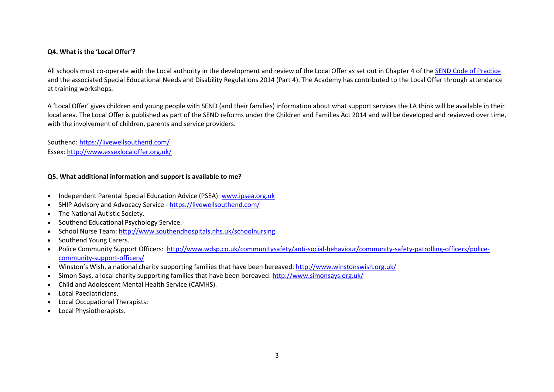## **Q4. What is the 'Local Offer'?**

All schools must co-operate with the Local authority in the development and review of the Local Offer as set out in Chapter 4 of the [SEND Code of Practice](https://assets.publishing.service.gov.uk/government/uploads/system/uploads/attachment_data/file/398815/SEND_Code_of_Practice_January_2015.pdf) and the associated Special Educational Needs and Disability Regulations 2014 (Part 4). The Academy has contributed to the Local Offer through attendance at training workshops.

A 'Local Offer' gives children and young people with SEND (and their families) information about what support services the LA think will be available in their local area. The Local Offer is published as part of the SEND reforms under the Children and Families Act 2014 and will be developed and reviewed over time, with the involvement of children, parents and service providers.

Southend: <https://livewellsouthend.com/> Essex: <http://www.essexlocaloffer.org.uk/>

## **Q5. What additional information and support is available to me?**

- Independent Parental Special Education Advice (PSEA): [www.ipsea.org.uk](http://www.ipsea.org.uk/)
- SHIP Advisory and Advocacy Service <https://livewellsouthend.com/>
- The National Autistic Society.
- Southend Educational Psychology Service.
- School Nurse Team[: http://www.southendhospitals.nhs.uk/schoolnursing](http://www.southendhospitals.nhs.uk/schoolnursing)
- Southend Young Carers.
- Police Community Support Officers: [http://www.wdsp.co.uk/communitysafety/anti-social-behaviour/community-safety-patrolling-officers/police](http://www.wdsp.co.uk/communitysafety/anti-social-behaviour/community-safety-patrolling-officers/police-community-support-officers/)[community-support-officers/](http://www.wdsp.co.uk/communitysafety/anti-social-behaviour/community-safety-patrolling-officers/police-community-support-officers/)
- Winston's Wish, a national charity supporting families that have been bereaved[: http://www.winstonswish.org.uk/](http://www.winstonswish.org.uk/)
- Simon Says, a local charity supporting families that have been bereaved:<http://www.simonsays.org.uk/>
- Child and Adolescent Mental Health Service (CAMHS).
- Local Paediatricians.
- Local Occupational Therapists:
- Local Physiotherapists.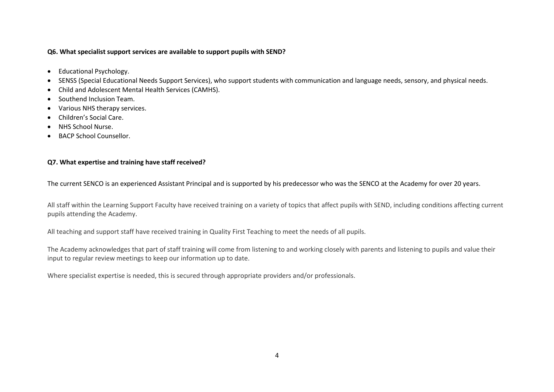## **Q6. What specialist support services are available to support pupils with SEND?**

- Educational Psychology.
- SENSS (Special Educational Needs Support Services), who support students with communication and language needs, sensory, and physical needs.
- Child and Adolescent Mental Health Services (CAMHS).
- Southend Inclusion Team.
- Various NHS therapy services.
- Children's Social Care.
- NHS School Nurse.
- BACP School Counsellor.

## **Q7. What expertise and training have staff received?**

The current SENCO is an experienced Assistant Principal and is supported by his predecessor who was the SENCO at the Academy for over 20 years.

All staff within the Learning Support Faculty have received training on a variety of topics that affect pupils with SEND, including conditions affecting current pupils attending the Academy.

All teaching and support staff have received training in Quality First Teaching to meet the needs of all pupils.

The Academy acknowledges that part of staff training will come from listening to and working closely with parents and listening to pupils and value their input to regular review meetings to keep our information up to date.

Where specialist expertise is needed, this is secured through appropriate providers and/or professionals.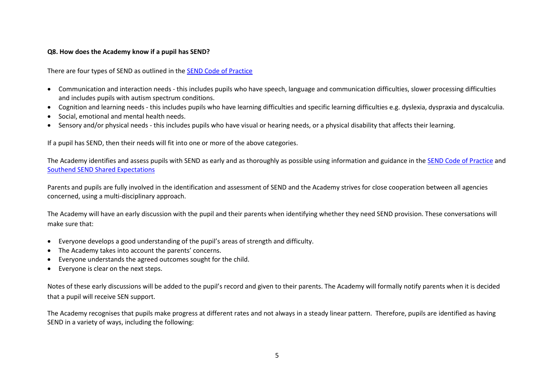## **Q8. How does the Academy know if a pupil has SEND?**

There are four types of SEND as outlined in the [SEND Code of Practice](https://assets.publishing.service.gov.uk/government/uploads/system/uploads/attachment_data/file/398815/SEND_Code_of_Practice_January_2015.pdf)

- Communication and interaction needs this includes pupils who have speech, language and communication difficulties, slower processing difficulties and includes pupils with autism spectrum conditions.
- Cognition and learning needs this includes pupils who have learning difficulties and specific learning difficulties e.g. dyslexia, dyspraxia and dyscalculia.
- Social, emotional and mental health needs.
- Sensory and/or physical needs this includes pupils who have visual or hearing needs, or a physical disability that affects their learning.

If a pupil has SEND, then their needs will fit into one or more of the above categories.

The Academy identifies and assess pupils with SEND as early and as thoroughly as possible using information and guidance in th[e SEND Code of Practice](https://assets.publishing.service.gov.uk/government/uploads/system/uploads/attachment_data/file/398815/SEND_Code_of_Practice_January_2015.pdf) and [Southend SEND Shared Expectations](http://www.southendlearningnetwork.co.uk/Page/16105)

Parents and pupils are fully involved in the identification and assessment of SEND and the Academy strives for close cooperation between all agencies concerned, using a multi-disciplinary approach.

The Academy will have an early discussion with the pupil and their parents when identifying whether they need SEND provision. These conversations will make sure that:

- Everyone develops a good understanding of the pupil's areas of strength and difficulty.
- The Academy takes into account the parents' concerns.
- Everyone understands the agreed outcomes sought for the child.
- Everyone is clear on the next steps.

Notes of these early discussions will be added to the pupil's record and given to their parents. The Academy will formally notify parents when it is decided that a pupil will receive SEN support.

The Academy recognises that pupils make progress at different rates and not always in a steady linear pattern. Therefore, pupils are identified as having SEND in a variety of ways, including the following: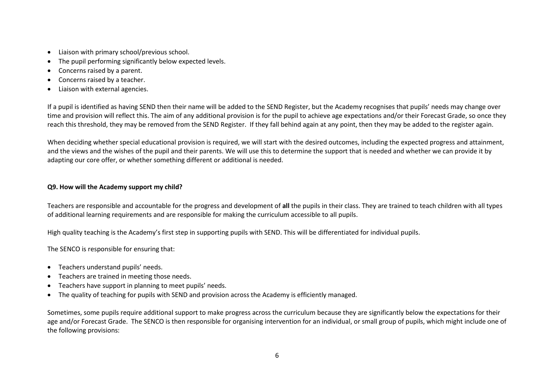- Liaison with primary school/previous school.
- The pupil performing significantly below expected levels.
- Concerns raised by a parent.
- Concerns raised by a teacher.
- Liaison with external agencies.

If a pupil is identified as having SEND then their name will be added to the SEND Register, but the Academy recognises that pupils' needs may change over time and provision will reflect this. The aim of any additional provision is for the pupil to achieve age expectations and/or their Forecast Grade, so once they reach this threshold, they may be removed from the SEND Register. If they fall behind again at any point, then they may be added to the register again.

When deciding whether special educational provision is required, we will start with the desired outcomes, including the expected progress and attainment, and the views and the wishes of the pupil and their parents. We will use this to determine the support that is needed and whether we can provide it by adapting our core offer, or whether something different or additional is needed.

## **Q9. How will the Academy support my child?**

Teachers are responsible and accountable for the progress and development of **all** the pupils in their class. They are trained to teach children with all types of additional learning requirements and are responsible for making the curriculum accessible to all pupils.

High quality teaching is the Academy's first step in supporting pupils with SEND. This will be differentiated for individual pupils.

The SENCO is responsible for ensuring that:

- Teachers understand pupils' needs.
- Teachers are trained in meeting those needs.
- Teachers have support in planning to meet pupils' needs.
- The quality of teaching for pupils with SEND and provision across the Academy is efficiently managed.

Sometimes, some pupils require additional support to make progress across the curriculum because they are significantly below the expectations for their age and/or Forecast Grade. The SENCO is then responsible for organising intervention for an individual, or small group of pupils, which might include one of the following provisions: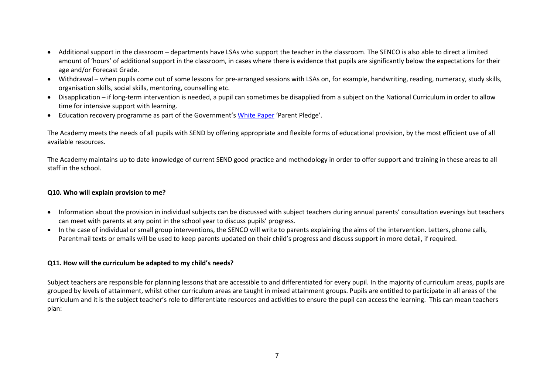- Additional support in the classroom departments have LSAs who support the teacher in the classroom. The SENCO is also able to direct a limited amount of 'hours' of additional support in the classroom, in cases where there is evidence that pupils are significantly below the expectations for their age and/or Forecast Grade.
- Withdrawal when pupils come out of some lessons for pre-arranged sessions with LSAs on, for example, handwriting, reading, numeracy, study skills, organisation skills, social skills, mentoring, counselling etc.
- Disapplication if long-term intervention is needed, a pupil can sometimes be disapplied from a subject on the National Curriculum in order to allow time for intensive support with learning.
- Education recovery programme as part of the Government's [White Paper](https://assets.publishing.service.gov.uk/government/uploads/system/uploads/attachment_data/file/1063602/Opportunity_for_all_strong_schools_with_great_teachers_for_your_child__print_version_.pdf) 'Parent Pledge'.

The Academy meets the needs of all pupils with SEND by offering appropriate and flexible forms of educational provision, by the most efficient use of all available resources.

The Academy maintains up to date knowledge of current SEND good practice and methodology in order to offer support and training in these areas to all staff in the school.

## **Q10. Who will explain provision to me?**

- Information about the provision in individual subjects can be discussed with subject teachers during annual parents' consultation evenings but teachers can meet with parents at any point in the school year to discuss pupils' progress.
- In the case of individual or small group interventions, the SENCO will write to parents explaining the aims of the intervention. Letters, phone calls, Parentmail texts or emails will be used to keep parents updated on their child's progress and discuss support in more detail, if required.

## **Q11. How will the curriculum be adapted to my child's needs?**

Subject teachers are responsible for planning lessons that are accessible to and differentiated for every pupil. In the majority of curriculum areas, pupils are grouped by levels of attainment, whilst other curriculum areas are taught in mixed attainment groups. Pupils are entitled to participate in all areas of the curriculum and it is the subject teacher's role to differentiate resources and activities to ensure the pupil can access the learning. This can mean teachers plan: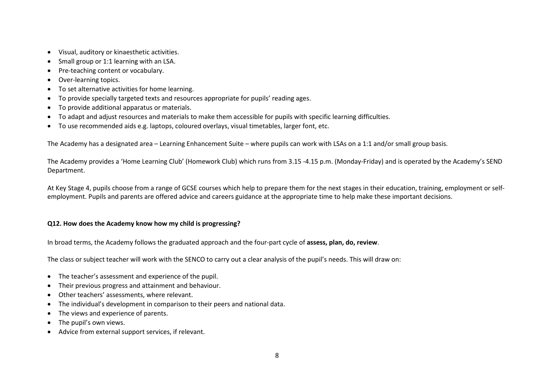- Visual, auditory or kinaesthetic activities.
- Small group or 1:1 learning with an LSA.
- Pre-teaching content or vocabulary.
- Over-learning topics.
- To set alternative activities for home learning.
- To provide specially targeted texts and resources appropriate for pupils' reading ages.
- To provide additional apparatus or materials.
- To adapt and adjust resources and materials to make them accessible for pupils with specific learning difficulties.
- To use recommended aids e.g. laptops, coloured overlays, visual timetables, larger font, etc.

The Academy has a designated area – Learning Enhancement Suite – where pupils can work with LSAs on a 1:1 and/or small group basis.

The Academy provides a 'Home Learning Club' (Homework Club) which runs from 3.15 -4.15 p.m. (Monday-Friday) and is operated by the Academy's SEND Department.

At Key Stage 4, pupils choose from a range of GCSE courses which help to prepare them for the next stages in their education, training, employment or selfemployment. Pupils and parents are offered advice and careers guidance at the appropriate time to help make these important decisions.

## **Q12. How does the Academy know how my child is progressing?**

In broad terms, the Academy follows the graduated approach and the four-part cycle of **assess, plan, do, review**.

The class or subject teacher will work with the SENCO to carry out a clear analysis of the pupil's needs. This will draw on:

- The teacher's assessment and experience of the pupil.
- Their previous progress and attainment and behaviour.
- Other teachers' assessments, where relevant.
- The individual's development in comparison to their peers and national data.
- The views and experience of parents.
- The pupil's own views.
- Advice from external support services, if relevant.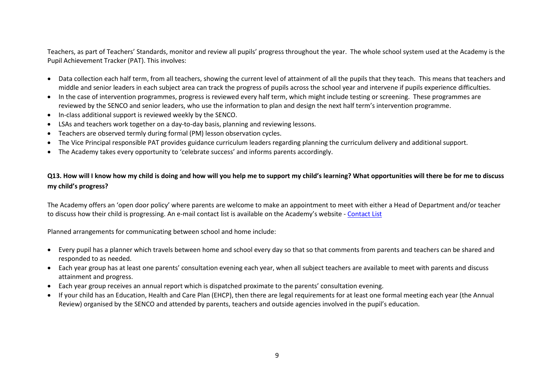Teachers, as part of Teachers' Standards, monitor and review all pupils' progress throughout the year. The whole school system used at the Academy is the Pupil Achievement Tracker (PAT). This involves:

- Data collection each half term, from all teachers, showing the current level of attainment of all the pupils that they teach. This means that teachers and middle and senior leaders in each subject area can track the progress of pupils across the school year and intervene if pupils experience difficulties.
- In the case of intervention programmes, progress is reviewed every half term, which might include testing or screening. These programmes are reviewed by the SENCO and senior leaders, who use the information to plan and design the next half term's intervention programme.
- In-class additional support is reviewed weekly by the SENCO.
- LSAs and teachers work together on a day-to-day basis, planning and reviewing lessons.
- Teachers are observed termly during formal (PM) lesson observation cycles.
- The Vice Principal responsible PAT provides guidance curriculum leaders regarding planning the curriculum delivery and additional support.
- The Academy takes every opportunity to 'celebrate success' and informs parents accordingly.

**Q13. How will I know how my child is doing and how will you help me to support my child's learning? What opportunities will there be for me to discuss my child's progress?**

The Academy offers an 'open door policy' where parents are welcome to make an appointment to meet with either a Head of Department and/or teacher to discuss how their child is progressing. An e-mail contact list is available on the Academy's website - [Contact List](http://www.eastwoodacademy.co.uk/index.php/contact-us/pastoral-e-mail-directory) 

Planned arrangements for communicating between school and home include:

- Every pupil has a planner which travels between home and school every day so that so that comments from parents and teachers can be shared and responded to as needed.
- Each year group has at least one parents' consultation evening each year, when all subject teachers are available to meet with parents and discuss attainment and progress.
- Each year group receives an annual report which is dispatched proximate to the parents' consultation evening.
- If your child has an Education, Health and Care Plan (EHCP), then there are legal requirements for at least one formal meeting each year (the Annual Review) organised by the SENCO and attended by parents, teachers and outside agencies involved in the pupil's education.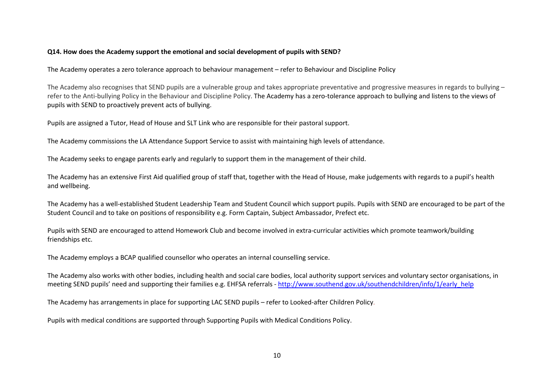## **Q14. How does the Academy support the emotional and social development of pupils with SEND?**

The Academy operates a zero tolerance approach to behaviour management – refer to [Behaviour and Discipline Policy](http://www.eastwoodacademy.co.uk/docs/Behaviour%20and%20Discipline%20Policy20.pdf)

The Academy also recognises that SEND pupils are a vulnerable group and takes appropriate preventative and progressive measures in regards to bullying – refer to the Anti-bullying Policy in the [Behaviour and Discipline Policy.](http://www.eastwoodacademy.co.uk/docs/Behaviour%20and%20Discipline%20Policy20.pdf) The Academy has a zero-tolerance approach to bullying and listens to the views of pupils with SEND to proactively prevent acts of bullying.

Pupils are assigned a Tutor, Head of House and SLT Link who are responsible for their pastoral support.

The Academy commissions the LA Attendance Support Service to assist with maintaining high levels of attendance.

The Academy seeks to engage parents early and regularly to support them in the management of their child.

The Academy has an extensive First Aid qualified group of staff that, together with the Head of House, make judgements with regards to a pupil's health and wellbeing.

The Academy has a well-established Student Leadership Team and Student Council which support pupils. Pupils with SEND are encouraged to be part of the Student Council and to take on positions of responsibility e.g. Form Captain, Subject Ambassador, Prefect etc.

Pupils with SEND are encouraged to attend Homework Club and become involved in extra-curricular activities which promote teamwork/building friendships etc.

The Academy employs a BCAP qualified counsellor who operates an internal counselling service.

The Academy also works with other bodies, including health and social care bodies, local authority support services and voluntary sector organisations, in meeting SEND pupils' need and supporting their families e.g. EHFSA referrals - [http://www.southend.gov.uk/southendchildren/info/1/early\\_help](http://www.southend.gov.uk/southendchildren/info/1/early_help)

The Academy has arrangements in place for supporting LAC SEND pupils – refer to [Looked-after Children Policy.](http://www.eastwoodacademy.co.uk/docs/LAC%20Policy20.pdf)

Pupils with medical conditions are supported through [Supporting Pupils with Medical Conditions Policy.](http://www.eastwoodacademy.co.uk/docs/Supporting%20Pupils%20with%20Medical%20Conditions%20Policy20.pdf)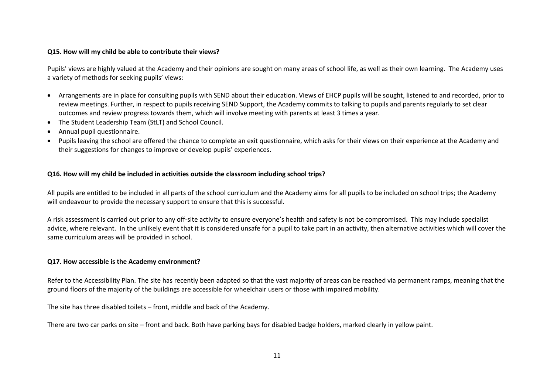## **Q15. How will my child be able to contribute their views?**

Pupils' views are highly valued at the Academy and their opinions are sought on many areas of school life, as well as their own learning. The Academy uses a variety of methods for seeking pupils' views:

- Arrangements are in place for consulting pupils with SEND about their education. Views of EHCP pupils will be sought, listened to and recorded, prior to review meetings. Further, in respect to pupils receiving SEND Support, the Academy commits to talking to pupils and parents regularly to set clear outcomes and review progress towards them, which will involve meeting with parents at least 3 times a year.
- The Student Leadership Team (StLT) and School Council.
- Annual pupil questionnaire.
- Pupils leaving the school are offered the chance to complete an exit questionnaire, which asks for their views on their experience at the Academy and their suggestions for changes to improve or develop pupils' experiences.

## **Q16. How will my child be included in activities outside the classroom including school trips?**

All pupils are entitled to be included in all parts of the school curriculum and the Academy aims for all pupils to be included on school trips; the Academy will endeavour to provide the necessary support to ensure that this is successful.

A risk assessment is carried out prior to any off-site activity to ensure everyone's health and safety is not be compromised. This may include specialist advice, where relevant. In the unlikely event that it is considered unsafe for a pupil to take part in an activity, then alternative activities which will cover the same curriculum areas will be provided in school.

#### **Q17. How accessible is the Academy environment?**

Refer to the [Accessibility Plan.](http://www.eastwoodacademy.co.uk/docs/Accessibility%20Plan20.pdf) The site has recently been adapted so that the vast majority of areas can be reached via permanent ramps, meaning that the ground floors of the majority of the buildings are accessible for wheelchair users or those with impaired mobility.

The site has three disabled toilets – front, middle and back of the Academy.

There are two car parks on site – front and back. Both have parking bays for disabled badge holders, marked clearly in yellow paint.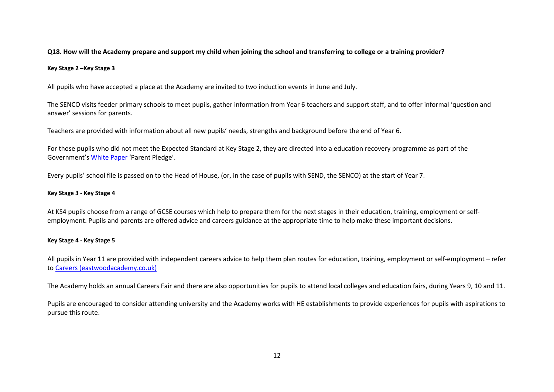## **Q18. How will the Academy prepare and support my child when joining the school and transferring to college or a training provider?**

#### **Key Stage 2 –Key Stage 3**

All pupils who have accepted a place at the Academy are invited to two induction events in June and July.

The SENCO visits feeder primary schools to meet pupils, gather information from Year 6 teachers and support staff, and to offer informal 'question and answer' sessions for parents.

Teachers are provided with information about all new pupils' needs, strengths and background before the end of Year 6.

For those pupils who did not meet the Expected Standard at Key Stage 2, they are directed into a education recovery programme as part of the Government's [White Paper](https://assets.publishing.service.gov.uk/government/uploads/system/uploads/attachment_data/file/1063602/Opportunity_for_all_strong_schools_with_great_teachers_for_your_child__print_version_.pdf) 'Parent Pledge'.

Every pupils' school file is passed on to the Head of House, (or, in the case of pupils with SEND, the SENCO) at the start of Year 7.

#### **Key Stage 3 - Key Stage 4**

At KS4 pupils choose from a range of GCSE courses which help to prepare them for the next stages in their education, training, employment or selfemployment. Pupils and parents are offered advice and careers guidance at the appropriate time to help make these important decisions.

#### **Key Stage 4 - Key Stage 5**

All pupils in Year 11 are provided with independent careers advice to help them plan routes for education, training, employment or self-employment – refer to [Careers \(eastwoodacademy.co.uk\)](http://www.eastwoodacademy.co.uk/index.php/pupils/careers)

The Academy holds an annual Careers Fair and there are also opportunities for pupils to attend local colleges and education fairs, during Years 9, 10 and 11.

Pupils are encouraged to consider attending university and the Academy works with HE establishments to provide experiences for pupils with aspirations to pursue this route.